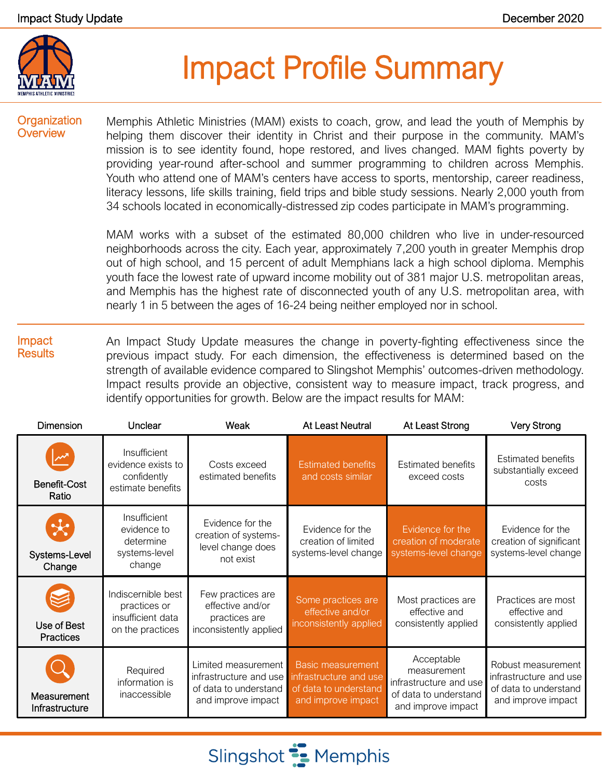

# Impact Profile Summary

### **Organization Overview**

Memphis Athletic Ministries (MAM) exists to coach, grow, and lead the youth of Memphis by helping them discover their identity in Christ and their purpose in the community. MAM's mission is to see identity found, hope restored, and lives changed. MAM fights poverty by providing year-round after-school and summer programming to children across Memphis. Youth who attend one of MAM's centers have access to sports, mentorship, career readiness, literacy lessons, life skills training, field trips and bible study sessions. Nearly 2,000 youth from 34 schools located in economically-distressed zip codes participate in MAM's programming.

MAM works with a subset of the estimated 80,000 children who live in under-resourced neighborhoods across the city. Each year, approximately 7,200 youth in greater Memphis drop out of high school, and 15 percent of adult Memphians lack a high school diploma. Memphis youth face the lowest rate of upward income mobility out of 381 major U.S. metropolitan areas, and Memphis has the highest rate of disconnected youth of any U.S. metropolitan area, with nearly 1 in 5 between the ages of 16-24 being neither employed nor in school.

#### Impact **Results** An Impact Study Update measures the change in poverty-fighting effectiveness since the previous impact study. For each dimension, the effectiveness is determined based on the strength of available evidence compared to Slingshot Memphis' outcomes-driven methodology. Impact results provide an objective, consistent way to measure impact, track progress, and identify opportunities for growth. Below are the impact results for MAM:

| <b>Dimension</b>                        | Unclear                                                                     | Weak                                                                                         | <b>At Least Neutral</b>                                                                           | At Least Strong                                                                                    | <b>Very Strong</b>                                                                          |
|-----------------------------------------|-----------------------------------------------------------------------------|----------------------------------------------------------------------------------------------|---------------------------------------------------------------------------------------------------|----------------------------------------------------------------------------------------------------|---------------------------------------------------------------------------------------------|
| <b>Benefit-Cost</b><br>Ratio            | Insufficient<br>evidence exists to<br>confidently<br>estimate benefits      | Costs exceed<br>estimated benefits                                                           | <b>Estimated benefits</b><br>and costs similar                                                    | <b>Estimated benefits</b><br>exceed costs                                                          | <b>Estimated benefits</b><br>substantially exceed<br>costs                                  |
| $\mathbf{x}$<br>Systems-Level<br>Change | Insufficient<br>evidence to<br>determine<br>systems-level<br>change         | Evidence for the<br>creation of systems-<br>level change does<br>not exist                   | Evidence for the<br>creation of limited<br>systems-level change                                   | Evidence for the<br>creation of moderate<br>systems-level change                                   | Evidence for the<br>creation of significant<br>systems-level change                         |
| Use of Best<br><b>Practices</b>         | Indiscernible best<br>practices or<br>insufficient data<br>on the practices | Few practices are<br>effective and/or<br>practices are<br>inconsistently applied             | Some practices are<br>effective and/or<br>inconsistently applied                                  | Most practices are<br>effective and<br>consistently applied                                        | Practices are most<br>effective and<br>consistently applied                                 |
| Measurement<br>Infrastructure           | Required<br>information is<br>inaccessible                                  | Limited measurement<br>infrastructure and use<br>of data to understand<br>and improve impact | <b>Basic measurement</b><br>infrastructure and use<br>of data to understand<br>and improve impact | Acceptable<br>measurement<br>infrastructure and use<br>of data to understand<br>and improve impact | Robust measurement<br>infrastructure and use<br>of data to understand<br>and improve impact |

Slingshot **:** Memphis